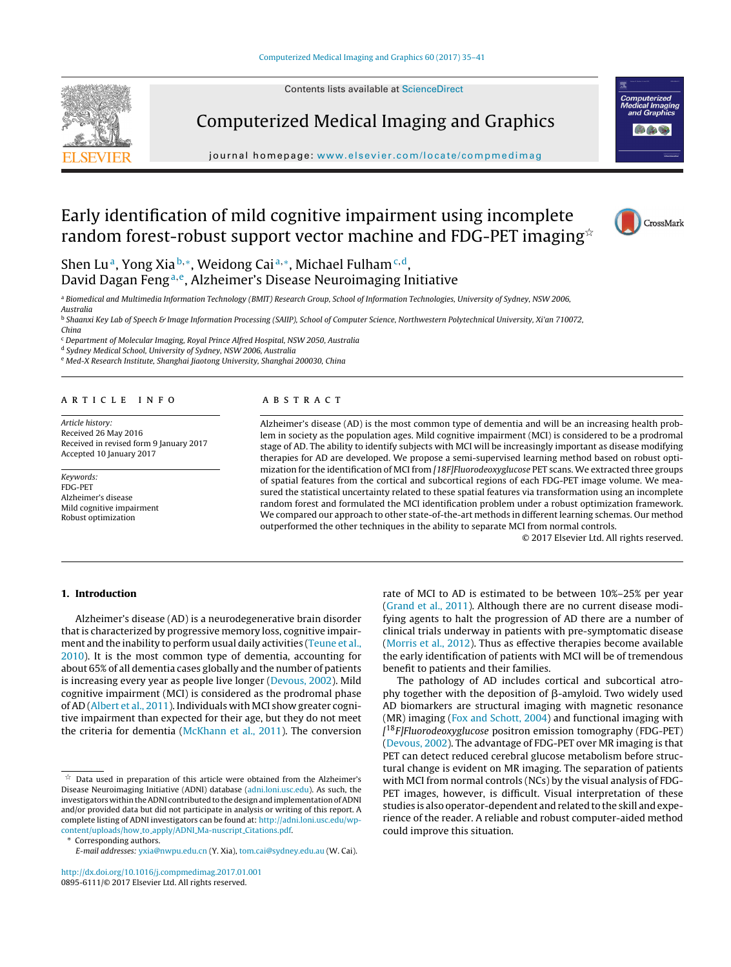Contents lists available at [ScienceDirect](http://www.sciencedirect.com/science/journal/08956111)





# Computerized Medical Imaging and Graphics

iournal homepage: [www.elsevier.com/locate/compmedimag](http://www.elsevier.com/locate/compmedimag)

# Early identification of mild cognitive impairment using incomplete random forest-robust support vector machine and FDG-PET imaging $^{\star}$



Shen Lu<sup>a</sup>, Yong Xia b,\*, Weidong Cai<sup>a,\*</sup>, Michael Fulham<sup>c,d</sup>, David Dagan Feng<sup>a</sup>,e, Alzheimer's Disease Neuroimaging Initiative

a Biomedical and Multimedia Information Technology (BMIT) Research Group, School of Information Technologies, University of Sydney, NSW 2006, Australia

<sup>b</sup> Shaanxi Key Lab of Speech & Image Information Processing (SAIIP), School of Computer Science, Northwestern Polytechnical University, Xi'an 710072, China

<sup>c</sup> Department of Molecular Imaging, Royal Prince Alfred Hospital, NSW 2050, Australia

<sup>d</sup> Sydney Medical School, University of Sydney, NSW 2006, Australia

<sup>e</sup> Med-X Research Institute, Shanghai Jiaotong University, Shanghai 200030, China

## a r t i c l e i n f o

Article history: Received 26 May 2016 Received in revised form 9 January 2017 Accepted 10 January 2017

Keywords: FDG-PET Alzheimer's disease Mild cognitive impairment Robust optimization

# A B S T R A C T

Alzheimer's disease (AD) is the most common type of dementia and will be an increasing health problem in society as the population ages. Mild cognitive impairment (MCI) is considered to be a prodromal stage of AD. The ability to identify subjects with MCI will be increasingly important as disease modifying therapies for AD are developed. We propose a semi-supervised learning method based on robust optimization for the identification of MCI from [18F]Fluorodeoxyglucose PET scans. We extracted three groups of spatial features from the cortical and subcortical regions of each FDG-PET image volume. We measured the statistical uncertainty related to these spatial features via transformation using an incomplete random forest and formulated the MCI identification problem under a robust optimization framework. We compared our approach to other state-of-the-art methods in different learning schemas. Our method outperformed the other techniques in the ability to separate MCI from normal controls.

© 2017 Elsevier Ltd. All rights reserved.

# **1. Introduction**

Alzheimer's disease (AD) is a neurodegenerative brain disorder that is characterized by progressive memory loss, cognitive impairment and the inability to perform usual daily activities ([Teune](#page-6-0) et [al.,](#page-6-0) [2010\).](#page-6-0) It is the most common type of dementia, accounting for about 65% of all dementia cases globally and the number of patients is increasing every year as people live longer [\(Devous,](#page-6-0) [2002\).](#page-6-0) Mild cognitive impairment (MCI) is considered as the prodromal phase of AD ([Albert](#page-6-0) et [al.,](#page-6-0) [2011\).](#page-6-0) Individuals with MCI show greater cognitive impairment than expected for their age, but they do not meet the criteria for dementia ([McKhann](#page-6-0) et [al.,](#page-6-0) [2011\).](#page-6-0) The conversion

∗ Corresponding authors.

[http://dx.doi.org/10.1016/j.compmedimag.2017.01.001](dx.doi.org/10.1016/j.compmedimag.2017.01.001) 0895-6111/© 2017 Elsevier Ltd. All rights reserved.

rate of MCI to AD is estimated to be between 10%–25% per year [\(Grand](#page-6-0) et [al.,](#page-6-0) [2011\).](#page-6-0) Although there are no current disease modifying agents to halt the progression of AD there are a number of clinical trials underway in patients with pre-symptomatic disease [\(Morris](#page-6-0) et [al.,](#page-6-0) [2012\).](#page-6-0) Thus as effective therapies become available the early identification of patients with MCI will be of tremendous benefit to patients and their families.

The pathology of AD includes cortical and subcortical atro $phy$  together with the deposition of  $\beta$ -amyloid. Two widely used AD biomarkers are structural imaging with magnetic resonance (MR) imaging ([Fox](#page-6-0) [and](#page-6-0) [Schott,](#page-6-0) [2004\)](#page-6-0) and functional imaging with [<sup>18</sup>F]Fluorodeoxyglucose positron emission tomography (FDG-PET) [\(Devous,](#page-6-0) [2002\).](#page-6-0) The advantage of FDG-PET over MR imaging is that PET can detect reduced cerebral glucose metabolism before structural change is evident on MR imaging. The separation of patients with MCI from normal controls (NCs) by the visual analysis of FDG-PET images, however, is difficult. Visual interpretation of these studies is also operator-dependent and related to the skill and experience of the reader. A reliable and robust computer-aided method could improve this situation.

<sup>-</sup> Data used in preparation of this article were obtained from the Alzheimer's Disease Neuroimaging Initiative (ADNI) database ([adni.loni.usc.edu](http://adni.loni.usc.edu)). As such, the investigators within the ADNI contributed to the design and implementation of ADNI and/or provided data but did not participate in analysis or writing of this report. A complete listing of ADNI investigators can be found at: [http://adni.loni.usc.edu/wp](http://adni.loni.usc.edu/wp-content/uploads/how_to_apply/ADNI_Ma-nuscript_Citations.pdf)[content/uploads/how](http://adni.loni.usc.edu/wp-content/uploads/how_to_apply/ADNI_Ma-nuscript_Citations.pdf) [to](http://adni.loni.usc.edu/wp-content/uploads/how_to_apply/ADNI_Ma-nuscript_Citations.pdf) [apply/ADNI](http://adni.loni.usc.edu/wp-content/uploads/how_to_apply/ADNI_Ma-nuscript_Citations.pdf) [Ma-nuscript](http://adni.loni.usc.edu/wp-content/uploads/how_to_apply/ADNI_Ma-nuscript_Citations.pdf) [Citations.pdf.](http://adni.loni.usc.edu/wp-content/uploads/how_to_apply/ADNI_Ma-nuscript_Citations.pdf)

E-mail addresses: [yxia@nwpu.edu.cn](mailto:yxia@nwpu.edu.cn) (Y. Xia), [tom.cai@sydney.edu.au](mailto:tom.cai@sydney.edu.au) (W. Cai).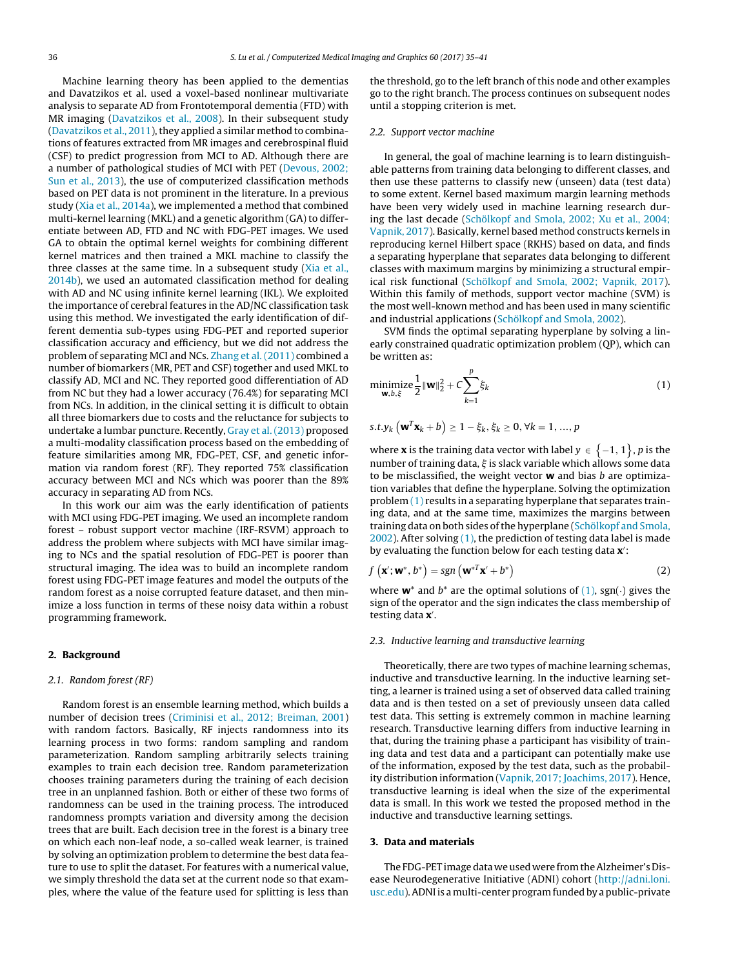<span id="page-1-0"></span>Machine learning theory has been applied to the dementias and Davatzikos et al. used a voxel-based nonlinear multivariate analysis to separate AD from Frontotemporal dementia (FTD) with MR imaging [\(Davatzikos](#page-6-0) et [al.,](#page-6-0) [2008\).](#page-6-0) In their subsequent study ([Davatzikos](#page-6-0) et [al.,](#page-6-0) [2011\),](#page-6-0) they applied a similar method to combinations of features extracted from MR images and cerebrospinal fluid (CSF) to predict progression from MCI to AD. Although there are a number of pathological studies of MCI with PET ([Devous,](#page-6-0) [2002;](#page-6-0) [Sun](#page-6-0) et [al.,](#page-6-0) [2013\),](#page-6-0) the use of computerized classification methods based on PET data is not prominent in the literature. In a previous study [\(Xia](#page-6-0) et [al.,](#page-6-0) [2014a\),](#page-6-0) we implemented a method that combined multi-kernel learning (MKL) and a genetic algorithm (GA) to differentiate between AD, FTD and NC with FDG-PET images. We used GA to obtain the optimal kernel weights for combining different kernel matrices and then trained a MKL machine to classify the three classes at the same time. In a subsequent study [\(Xia](#page-6-0) et [al.,](#page-6-0) [2014b\),](#page-6-0) we used an automated classification method for dealing with AD and NC using infinite kernel learning (IKL). We exploited the importance of cerebral features in the AD/NC classification task using this method. We investigated the early identification of different dementia sub-types using FDG-PET and reported superior classification accuracy and efficiency, but we did not address the problem of separating MCI and NCs. [Zhang](#page-6-0) et [al.](#page-6-0) [\(2011\)](#page-6-0) combined a number of biomarkers (MR, PET and CSF) together and used MKL to classify AD, MCI and NC. They reported good differentiation of AD from NC but they had a lower accuracy (76.4%) for separating MCI from NCs. In addition, in the clinical setting it is difficult to obtain all three biomarkers due to costs and the reluctance for subjects to undertake a lumbar puncture. Recently, [Gray](#page-6-0) et [al.\(2013\)](#page-6-0) proposed a multi-modality classification process based on the embedding of feature similarities among MR, FDG-PET, CSF, and genetic information via random forest (RF). They reported 75% classification accuracy between MCI and NCs which was poorer than the 89% accuracy in separating AD from NCs.

In this work our aim was the early identification of patients with MCI using FDG-PET imaging. We used an incomplete random forest – robust support vector machine (IRF-RSVM) approach to address the problem where subjects with MCI have similar imaging to NCs and the spatial resolution of FDG-PET is poorer than structural imaging. The idea was to build an incomplete random forest using FDG-PET image features and model the outputs of the random forest as a noise corrupted feature dataset, and then minimize a loss function in terms of these noisy data within a robust programming framework.

# **2. Background**

## 2.1. Random forest (RF)

Random forest is an ensemble learning method, which builds a number of decision trees [\(Criminisi](#page-6-0) et [al.,](#page-6-0) [2012;](#page-6-0) [Breiman,](#page-6-0) [2001\)](#page-6-0) with random factors. Basically, RF injects randomness into its learning process in two forms: random sampling and random parameterization. Random sampling arbitrarily selects training examples to train each decision tree. Random parameterization chooses training parameters during the training of each decision tree in an unplanned fashion. Both or either of these two forms of randomness can be used in the training process. The introduced randomness prompts variation and diversity among the decision trees that are built. Each decision tree in the forest is a binary tree on which each non-leaf node, a so-called weak learner, is trained by solving an optimization problem to determine the best data feature to use to split the dataset. For features with a numerical value, we simply threshold the data set at the current node so that examples, where the value of the feature used for splitting is less than the threshold, go to the left branch of this node and other examples go to the right branch. The process continues on subsequent nodes until a stopping criterion is met.

### 2.2. Support vector machine

In general, the goal of machine learning is to learn distinguishable patterns from training data belonging to different classes, and then use these patterns to classify new (unseen) data (test data) to some extent. Kernel based maximum margin learning methods have been very widely used in machine learning research during the last decade ([Schölkopf](#page-6-0) [and](#page-6-0) [Smola,](#page-6-0) [2002;](#page-6-0) [Xu](#page-6-0) et [al.,](#page-6-0) [2004;](#page-6-0) [Vapnik,](#page-6-0) [2017\).](#page-6-0) Basically, kernel based method constructs kernels in reproducing kernel Hilbert space (RKHS) based on data, and finds a separating hyperplane that separates data belonging to different classes with maximum margins by minimizing a structural empirical risk functional ([Schölkopf](#page-6-0) [and](#page-6-0) [Smola,](#page-6-0) [2002;](#page-6-0) [Vapnik,](#page-6-0) [2017\).](#page-6-0) Within this family of methods, support vector machine (SVM) is the most well-known method and has been used in many scientific and industrial applications [\(Schölkopf](#page-6-0) [and](#page-6-0) [Smola,](#page-6-0) [2002\).](#page-6-0)

SVM finds the optimal separating hyperplane by solving a linearly constrained quadratic optimization problem (QP), which can be written as:

minimize 
$$
\frac{1}{2} ||\mathbf{w}||_2^2 + C \sum_{k=1}^p \xi_k
$$
 (1)

s.t. 
$$
y_k (\mathbf{w}^T \mathbf{x}_k + b) \ge 1 - \xi_k, \xi_k \ge 0, \forall k = 1, ..., p
$$

where **x** is the training data vector with label  $y \in \{-1, 1\}$ , p is the number of training data,  $\xi$  is slack variable which allows some data to be misclassified, the weight vector **w** and bias b are optimization variables that define the hyperplane. Solving the optimization problem (1) results in a separating hyperplane that separates training data, and at the same time, maximizes the margins between training data on both sides of the hyperplane ([Schölkopf](#page-6-0) [and](#page-6-0) [Smola,](#page-6-0)  $2002$ ). After solving  $(1)$ , the prediction of testing data label is made by evaluating the function below for each testing data **x** :

$$
f\left(\mathbf{x}';\mathbf{w}^*,b^*\right) = sgn\left(\mathbf{w}^{*T}\mathbf{x}' + b^*\right) \tag{2}
$$

where  $w^*$  and  $b^*$  are the optimal solutions of  $(1)$ , sgn $(\cdot)$  gives the sign of the operator and the sign indicates the class membership of testing data **x** .

### 2.3. Inductive learning and transductive learning

Theoretically, there are two types of machine learning schemas, inductive and transductive learning. In the inductive learning setting, a learner is trained using a set of observed data called training data and is then tested on a set of previously unseen data called test data. This setting is extremely common in machine learning research. Transductive learning differs from inductive learning in that, during the training phase a participant has visibility of training data and test data and a participant can potentially make use of the information, exposed by the test data, such as the probability distribution information ([Vapnik,](#page-6-0) [2017;](#page-6-0) [Joachims,](#page-6-0) [2017\).](#page-6-0) Hence, transductive learning is ideal when the size of the experimental data is small. In this work we tested the proposed method in the inductive and transductive learning settings.

## **3. Data and materials**

The FDG-PET image data we used were from the Alzheimer's Disease Neurodegenerative Initiative (ADNI) cohort ([http://adni.loni.](http://adni.loni.usc.edu) [usc.edu](http://adni.loni.usc.edu)).ADNIis amulti-centerprogramfundedby apublic-private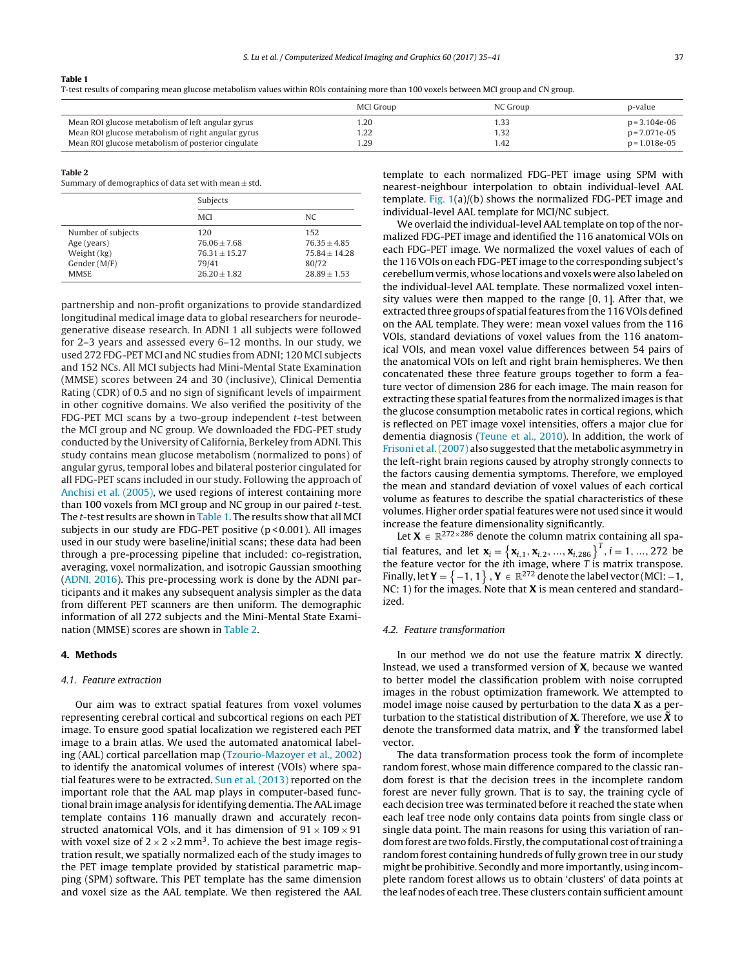#### **Table 1**

T-test results of comparing mean glucose metabolism values within ROIs containing more than 100 voxels between MCI group and CN group.

|                                                    | <b>MCI</b> Group | NC Group | p-value         |
|----------------------------------------------------|------------------|----------|-----------------|
| Mean ROI glucose metabolism of left angular gyrus  | 1.20             |          | $p = 3.104e-06$ |
| Mean ROI glucose metabolism of right angular gyrus | 1.22             | 1.32     | $p = 7.071e-05$ |
| Mean ROI glucose metabolism of posterior cingulate | 1.29             | . 42     | $p = 1.018e-05$ |

#### **Table 2**

Summary of demographics of data set with mean  $\pm$  std.

|                    | Subjects        |                 |  |
|--------------------|-----------------|-----------------|--|
|                    | <b>MCI</b>      | NC.             |  |
| Number of subjects | 120             | 152             |  |
| Age (years)        | $76.06 + 7.68$  | $76.35 + 4.85$  |  |
| Weight (kg)        | $76.31 + 15.27$ | $75.84 + 14.28$ |  |
| Gender (M/F)       | 79/41           | 80/72           |  |
| <b>MMSE</b>        | $26.20 + 1.82$  | $28.89 + 1.53$  |  |

partnership and non-profit organizations to provide standardized longitudinal medical image data to global researchers for neurodegenerative disease research. In ADNI 1 all subjects were followed for 2–3 years and assessed every 6–12 months. In our study, we used 272 FDG-PET MCI and NC studies from ADNI; 120 MCI subjects and 152 NCs. All MCI subjects had Mini-Mental State Examination (MMSE) scores between 24 and 30 (inclusive), Clinical Dementia Rating (CDR) of 0.5 and no sign of significant levels of impairment in other cognitive domains. We also verified the positivity of the FDG-PET MCI scans by a two-group independent t-test between the MCI group and NC group. We downloaded the FDG-PET study conducted by the University of California, Berkeley from ADNI. This study contains mean glucose metabolism (normalized to pons) of angular gyrus, temporal lobes and bilateral posterior cingulated for all FDG-PET scans included in our study. Following the approach of [Anchisi](#page-6-0) et [al.](#page-6-0) [\(2005\),](#page-6-0) we used regions of interest containing more than 100 voxels from MCI group and NC group in our paired t-test. The t-test results are shown in Table 1. The results show that all MCI subjects in our study are FDG-PET positive (p < 0.001). All images used in our study were baseline/initial scans; these data had been through a pre-processing pipeline that included: co-registration, averaging, voxel normalization, and isotropic Gaussian smoothing ([ADNI,](#page-6-0) [2016\).](#page-6-0) This pre-processing work is done by the ADNI participants and it makes any subsequent analysis simpler as the data from different PET scanners are then uniform. The demographic information of all 272 subjects and the Mini-Mental State Examination (MMSE) scores are shown in Table 2.

# **4. Methods**

# 4.1. Feature extraction

Our aim was to extract spatial features from voxel volumes representing cerebral cortical and subcortical regions on each PET image. To ensure good spatial localization we registered each PET image to a brain atlas. We used the automated anatomical labeling (AAL) cortical parcellation map [\(Tzourio-Mazoyer](#page-6-0) et [al.,](#page-6-0) [2002\)](#page-6-0) to identify the anatomical volumes of interest (VOIs) where spatial features were to be extracted. [Sun](#page-6-0) et [al.](#page-6-0) [\(2013\)](#page-6-0) reported on the important role that the AAL map plays in computer-based functional brain image analysis for identifying dementia. The AAL image template contains 116 manually drawn and accurately reconstructed anatomical VOIs, and it has dimension of  $91 \times 109 \times 91$ with voxel size of  $2 \times 2 \times 2$  mm<sup>3</sup>. To achieve the best image registration result, we spatially normalized each of the study images to the PET image template provided by statistical parametric mapping (SPM) software. This PET template has the same dimension and voxel size as the AAL template. We then registered the AAL template to each normalized FDG-PET image using SPM with nearest-neighbour interpolation to obtain individual-level AAL template. [Fig.](#page-3-0) 1(a)/(b) shows the normalized FDG-PET image and individual-level AAL template for MCI/NC subject.

We overlaid the individual-level AAL template on top of the normalized FDG-PET image and identified the 116 anatomical VOIs on each FDG-PET image. We normalized the voxel values of each of the 116 VOIs on each FDG-PET image to the corresponding subject's cerebellumvermis, whose locations andvoxels were also labeledon the individual-level AAL template. These normalized voxel intensity values were then mapped to the range [0, 1]. After that, we extracted three groups of spatial features from the 116 VOIs defined on the AAL template. They were: mean voxel values from the 116 VOIs, standard deviations of voxel values from the 116 anatomical VOIs, and mean voxel value differences between 54 pairs of the anatomical VOIs on left and right brain hemispheres. We then concatenated these three feature groups together to form a feature vector of dimension 286 for each image. The main reason for extracting these spatial features from the normalized images is that the glucose consumption metabolic rates in cortical regions, which is reflected on PET image voxel intensities, offers a major clue for dementia diagnosis [\(Teune](#page-6-0) et [al.,](#page-6-0) [2010\).](#page-6-0) In addition, the work of [Frisoni](#page-6-0) et al. (2007) also suggested that the metabolic asymmetry in the left-right brain regions caused by atrophy strongly connects to the factors causing dementia symptoms. Therefore, we employed the mean and standard deviation of voxel values of each cortical volume as features to describe the spatial characteristics of these volumes. Higher order spatial features were not used since it would increase the feature dimensionality significantly.

Let  $X \in \mathbb{R}^{272 \times 286}$  denote the column matrix containing all spatial features, and let  $\mathbf{x}_i = \{ \mathbf{x}_{i,1}, \mathbf{x}_{i,2}, ..., \mathbf{x}_{i,286} \}^T$ ,  $i = 1, ..., 272$  be the feature vector for the *i*th image, where  $T$  is matrix transpose. Finally, let  $Y = \{-1, 1\}$ ,  $Y \in \mathbb{R}^{272}$  denote the label vector (MCI: -1, NC: 1) for the images. Note that **X** is mean centered and standardized.

#### 4.2. Feature transformation

In our method we do not use the feature matrix **X** directly. Instead, we used a transformed version of **X**, because we wanted to better model the classification problem with noise corrupted images in the robust optimization framework. We attempted to model image noise caused by perturbation to the data **X** as a perturbation to the statistical distribution of **X**. Therefore, we use  $\tilde{X}$  to denote the transformed data matrix, and  $\tilde{Y}$  the transformed label vector.

The data transformation process took the form of incomplete random forest, whose main difference compared to the classic random forest is that the decision trees in the incomplete random forest are never fully grown. That is to say, the training cycle of each decision tree was terminated before it reached the state when each leaf tree node only contains data points from single class or single data point. The main reasons for using this variation of random forest are two folds. Firstly, the computational cost of training a random forest containing hundreds of fully grown tree in our study might be prohibitive. Secondly and more importantly, using incomplete random forest allows us to obtain 'clusters' of data points at the leaf nodes of each tree. These clusters contain sufficient amount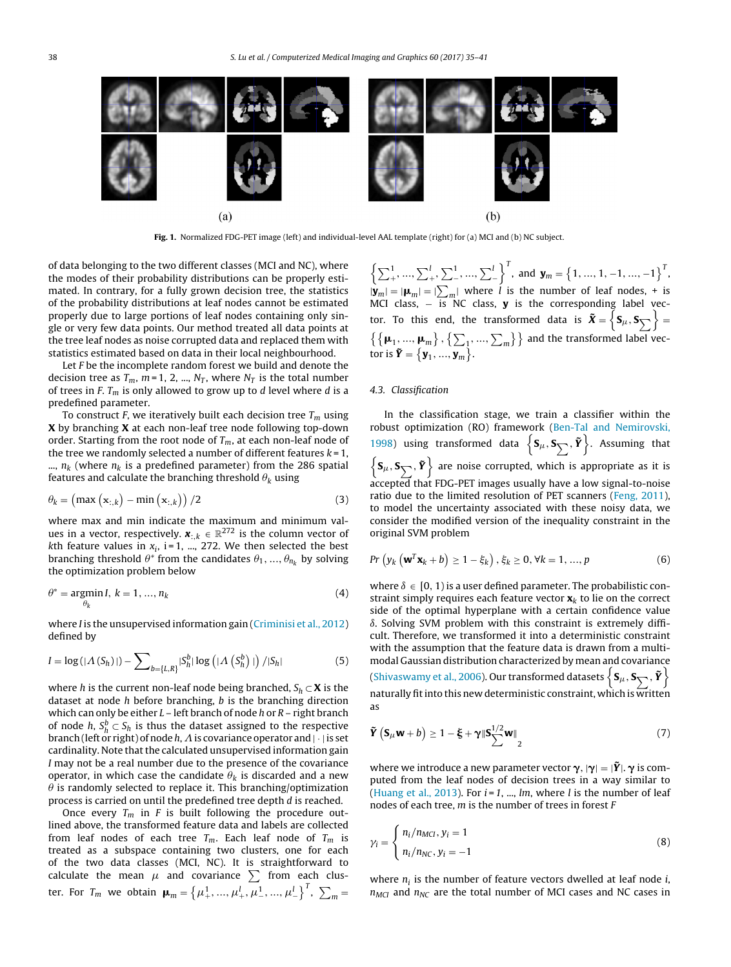<span id="page-3-0"></span>

**Fig. 1.** Normalized FDG-PET image (left) and individual-level AAL template (right) for (a) MCI and (b) NC subject.

of data belonging to the two different classes (MCI and NC), where the modes of their probability distributions can be properly estimated. In contrary, for a fully grown decision tree, the statistics of the probability distributions at leaf nodes cannot be estimated properly due to large portions of leaf nodes containing only single or very few data points. Our method treated all data points at the tree leaf nodes as noise corrupted data and replaced them with statistics estimated based on data in their local neighbourhood.

Let F be the incomplete random forest we build and denote the decision tree as  $T_m$ ,  $m = 1, 2, ..., N_T$ , where  $N_T$  is the total number of trees in F.  $T_m$  is only allowed to grow up to d level where d is a predefined parameter.

To construct F, we iteratively built each decision tree  $T_m$  using **X** by branching **X** at each non-leaf tree node following top-down order. Starting from the root node of  $T_m$ , at each non-leaf node of the tree we randomly selected a number of different features  $k = 1$ , ...,  $n_k$  (where  $n_k$  is a predefined parameter) from the 286 spatial features and calculate the branching threshold  $\theta_k$  using

$$
\theta_k = \left(\max\left(\mathbf{x}_{:,k}\right) - \min\left(\mathbf{x}_{:,k}\right)\right) / 2\tag{3}
$$

where max and min indicate the maximum and minimum values in a vector, respectively.  $\mathbf{x}_{:,k} \in \mathbb{R}^{272}$  is the column vector of kth feature values in  $x_i$ , i=1, ..., 272. We then selected the best branching threshold  $\theta^*$  from the candidates  $\theta_1, ..., \theta_{n_k}$  by solving the optimization problem below

$$
\theta^* = \underset{\theta_k}{\text{argmin}} \, I, \, k = 1, \, \dots, \, n_k \tag{4}
$$

where *I* is the unsupervised information gain ([Criminisi](#page-6-0) et [al.,](#page-6-0) [2012\)](#page-6-0) defined by

$$
I = \log(|\Lambda(S_h)|) - \sum_{b=\{L,R\}} |S_h^b| \log(|\Lambda(S_h^b)|) / |S_h|
$$
 (5)

where h is the current non-leaf node being branched,  $S_h \subset \mathbf{X}$  is the dataset at node  $h$  before branching,  $b$  is the branching direction which can only be either  $L$  – left branch of node h or  $R$  – right branch of node h,  $S_h^b \subset S_h$  is thus the dataset assigned to the respective branch (left or right) of node h,  $\Lambda$  is covariance operator and  $|\cdot|$  is set cardinality. Note that the calculated unsupervised information gain I may not be a real number due to the presence of the covariance operator, in which case the candidate  $\theta_k$  is discarded and a new  $\theta$  is randomly selected to replace it. This branching/optimization process is carried on until the predefined tree depth d is reached.

Once every  $T_m$  in F is built following the procedure outlined above, the transformed feature data and labels are collected from leaf nodes of each tree  $T_m$ . Each leaf node of  $T_m$  is treated as a subspace containing two clusters, one for each of the two data classes (MCI, NC). It is straightforward to calculate the mean  $\mu$  and covariance  $\sum$  from each cluster. For  $T_m$  we obtain  $\bm{\mu}_m = \left\{ \mu^1_+, ..., \mu^l_+, \mu^1_-, ..., \mu^l_-\right\}^T$ ,  $\sum_m =$ 

 $\left\{\sum_{i=1}^{1},...,\sum_{i=1}^{l},\sum_{i=1}^{1},...,\sum_{i=1}^{l}\right\}^{T}$ , and  $\mathbf{y}_{m} = \left\{1,...,1,-1,...,-1\right\}^{T}$ ,  $|\mathbf{y}_m| = |\mathbf{\mu}_m| = |\sum_m|$  where *l* is the number of leaf nodes, + is MCI class, – is NC class, **y** is the corresponding label vector. To this end, the transformed data is  $\tilde{\bm{X}} = \left\{ \bm{\mathrm{S}}_{\mu}, \bm{\mathrm{S}}_{\sum} \right\} =$  $\{ \{\bm \mu_1,...,\bm \mu_m\} , \{\sum_1,...,\sum_m\} \}$  and the transformed label vector is  $\tilde{\mathbf{Y}} = \{\mathbf{y}_1, ..., \mathbf{y}_m\}$ .

## 4.3. Classification

In the classification stage, we train a classifier within the robust optimization (RO) framework ([Ben-Tal](#page-6-0) [and](#page-6-0) [Nemirovski,](#page-6-0) [1998\)](#page-6-0) using transformed data  $\left\{ \mathbf{S}_{\mu},\mathbf{S}_{\sum},\tilde{\bm{Y}}\right\}$ . Assuming that  $\left\{\mathbf{S}_{\mu},\mathbf{S}_{\sum},\mathbf{\tilde{Y}}\right\}$  are noise corrupted, which is appropriate as it is accepted that FDG-PET images usually have a low signal-to-noise ratio due to the limited resolution of PET scanners ([Feng,](#page-6-0) [2011\),](#page-6-0) to model the uncertainty associated with these noisy data, we consider the modified version of the inequality constraint in the original SVM problem

$$
Pr\left(y_k\left(\mathbf{w}^T\mathbf{x}_k + b\right) \ge 1 - \xi_k\right), \xi_k \ge 0, \forall k = 1, ..., p \tag{6}
$$

where  $\delta \in [0, 1)$  is a user defined parameter. The probabilistic constraint simply requires each feature vector  $\mathbf{x}_k$  to lie on the correct side of the optimal hyperplane with a certain confidence value  $\delta$ . Solving SVM problem with this constraint is extremely difficult. Therefore, we transformed it into a deterministic constraint with the assumption that the feature data is drawn from a multimodal Gaussian distribution characterized by mean and covariance [\(Shivaswamy](#page-6-0) et [al.,](#page-6-0) [2006\).](#page-6-0) Our transformed datasets  $\left\{ \textbf{S}_{\mu},\textbf{S}_{\sum},\bm{\tilde{Y}}\right\}$ naturally fit into this new deterministic constraint, which is written as

$$
\tilde{\mathbf{Y}}\left(\mathbf{S}_{\mu}\mathbf{w}+b\right) \geq 1 - \xi + \gamma \|\mathbf{S}_{\sum_{2}^{1/2} \mathbf{W}}\|_{2}
$$
\n(7)

where we introduce a new parameter vector  $\gamma$ ,  $|\gamma| = |\tilde{Y}|$ .  $\gamma$  is computed from the leaf nodes of decision trees in a way similar to [\(Huang](#page-6-0) et [al.,](#page-6-0) [2013\).](#page-6-0) For  $i = 1, ..., lm$ , where l is the number of leaf nodes of each tree,  $m$  is the number of trees in forest  $F$ 

$$
\gamma_i = \begin{cases} n_i/n_{MC}, y_i = 1\\ n_i/n_{NC}, y_i = -1 \end{cases}
$$
 (8)

where  $n_i$  is the number of feature vectors dwelled at leaf node *i*,  $n_{MCI}$  and  $n_{NC}$  are the total number of MCI cases and NC cases in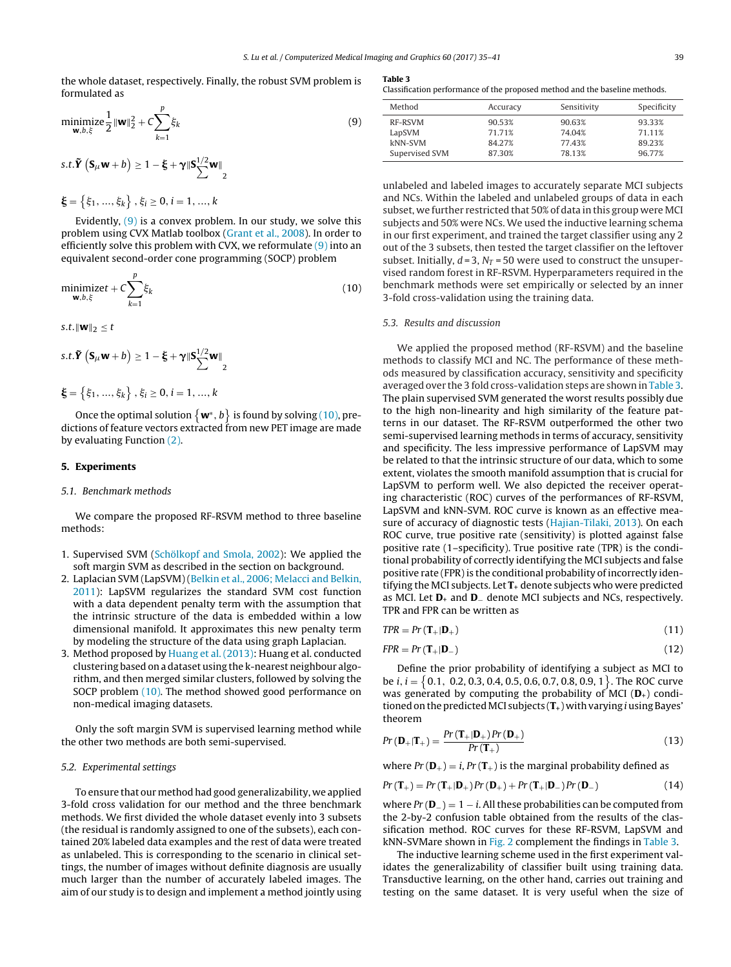<span id="page-4-0"></span>the whole dataset, respectively. Finally, the robust SVM problem is formulated as

$$
\underset{\mathbf{w},b,\xi}{\text{minimize}} \frac{1}{2} \|\mathbf{w}\|_{2}^{2} + C \sum_{k=1}^{p} \xi_{k}
$$
(9)

$$
s.t. \tilde{\mathbf{Y}}\left(\mathbf{S}_{\mu}\mathbf{w} + b\right) \ge 1 - \xi + \gamma \|\mathbf{S}_{\sum}^{1/2} \mathbf{w}\|
$$
  

$$
\xi = \left\{\xi_1, ..., \xi_k\right\}, \xi_i \ge 0, i = 1, ..., k
$$

Evidently,  $(9)$  is a convex problem. In our study, we solve this problem using CVX Matlab toolbox [\(Grant](#page-6-0) et [al.,](#page-6-0) [2008\).](#page-6-0) In order to efficiently solve this problem with CVX, we reformulate  $(9)$  into an equivalent second-order cone programming (SOCP) problem

$$
\underset{\mathbf{w},b,\xi}{\text{minimize}} t + C \sum_{k=1}^{p} \xi_k
$$
\n(10)

s.t. $\|\mathbf{w}\|_2 \leq t$ 

$$
s.t. \tilde{\boldsymbol{Y}}\left(\mathbf{S}_{\mu}\mathbf{w}+b\right) \geq 1-\xi+\gamma\|\mathbf{S}_{\sum}^{1/2}\mathbf{w}\|_{2}
$$

$$
\boldsymbol{\xi} = \{ \xi_1, ..., \xi_k \}, \xi_i \geq 0, i = 1, ..., k
$$

Once the optimal solution  $\{w^*,b\}$  is found by solving (10), predictions of feature vectors extracted from new PET image are made by evaluating Function [\(2\).](#page-1-0)

# **5. Experiments**

#### 5.1. Benchmark methods

We compare the proposed RF-RSVM method to three baseline methods:

- 1. Supervised SVM [\(Schölkopf](#page-6-0) [and](#page-6-0) [Smola,](#page-6-0) [2002\):](#page-6-0) We applied the soft margin SVM as described in the section on background.
- 2. Laplacian SVM (LapSVM) [\(Belkin](#page-6-0) et [al.,](#page-6-0) [2006;](#page-6-0) [Melacci](#page-6-0) [and](#page-6-0) [Belkin,](#page-6-0) [2011\):](#page-6-0) LapSVM regularizes the standard SVM cost function with a data dependent penalty term with the assumption that the intrinsic structure of the data is embedded within a low dimensional manifold. It approximates this new penalty term by modeling the structure of the data using graph Laplacian.
- 3. Method proposed by [Huang](#page-6-0) et [al.](#page-6-0) [\(2013\):](#page-6-0) Huang et al. conducted clustering based on a dataset using the k-nearest neighbour algorithm, and then merged similar clusters, followed by solving the SOCP problem (10). The method showed good performance on non-medical imaging datasets.

Only the soft margin SVM is supervised learning method while the other two methods are both semi-supervised.

## 5.2. Experimental settings

To ensure that our method had good generalizability, we applied 3-fold cross validation for our method and the three benchmark methods. We first divided the whole dataset evenly into 3 subsets (the residual is randomly assigned to one of the subsets), each contained 20% labeled data examples and the rest of data were treated as unlabeled. This is corresponding to the scenario in clinical settings, the number of images without definite diagnosis are usually much larger than the number of accurately labeled images. The aim of our study is to design and implement a method jointly using

#### **Table 3**

Classification performance of the proposed method and the baseline methods.

| Method         | Accuracy | Sensitivity | Specificity |
|----------------|----------|-------------|-------------|
| RF-RSVM        | 90.53%   | 90.63%      | 93.33%      |
| LapSVM         | 71.71%   | 74.04%      | 71.11%      |
| kNN-SVM        | 84.27%   | 77.43%      | 89.23%      |
| Supervised SVM | 87.30%   | 78.13%      | 96.77%      |

unlabeled and labeled images to accurately separate MCI subjects and NCs. Within the labeled and unlabeled groups of data in each subset, we further restricted that 50% of data in this group were MCI subjects and 50% were NCs. We used the inductive learning schema in our first experiment, and trained the target classifier using any 2 out of the 3 subsets, then tested the target classifier on the leftover subset. Initially,  $d = 3$ ,  $N_T = 50$  were used to construct the unsupervised random forest in RF-RSVM. Hyperparameters required in the benchmark methods were set empirically or selected by an inner 3-fold cross-validation using the training data.

## 5.3. Results and discussion

We applied the proposed method (RF-RSVM) and the baseline methods to classify MCI and NC. The performance of these methods measured by classification accuracy, sensitivity and specificity averaged over the 3 fold cross-validation steps are shown in Table 3. The plain supervised SVM generated the worst results possibly due to the high non-linearity and high similarity of the feature patterns in our dataset. The RF-RSVM outperformed the other two semi-supervised learning methods in terms of accuracy, sensitivity and specificity. The less impressive performance of LapSVM may be related to that the intrinsic structure of our data, which to some extent, violates the smooth manifold assumption that is crucial for LapSVM to perform well. We also depicted the receiver operating characteristic (ROC) curves of the performances of RF-RSVM, LapSVM and kNN-SVM. ROC curve is known as an effective measure of accuracy of diagnostic tests [\(Hajian-Tilaki,](#page-6-0) [2013\).](#page-6-0) On each ROC curve, true positive rate (sensitivity) is plotted against false positive rate (1–specificity). True positive rate (TPR) is the conditional probability of correctly identifying the MCI subjects and false positive rate (FPR) is the conditional probability of incorrectly identifying the MCI subjects. Let **T**<sup>+</sup> denote subjects who were predicted as MCI. Let **D**<sup>+</sup> and **D**<sup>−</sup> denote MCI subjects and NCs, respectively. TPR and FPR can be written as

$$
TPR = Pr\left(\mathbf{T}_{+}|\mathbf{D}_{+}\right) \tag{11}
$$

$$
FPR = Pr\left(\mathbf{T}_{+}|\mathbf{D}_{-}\right) \tag{12}
$$

Define the prior probability of identifying a subject as MCI to be *i*, *i* =  $\{0.1, 0.2, 0.3, 0.4, 0.5, 0.6, 0.7, 0.8, 0.9, 1\}$ . The ROC curve was generated by computing the probability of MCI (**D**+) conditioned on the predicted MCI subjects (T<sub>+</sub>) with varying *i* using Bayes' theorem

$$
Pr\left(\mathbf{D}_{+}|\mathbf{T}_{+}\right) = \frac{Pr\left(\mathbf{T}_{+}|\mathbf{D}_{+}\right)Pr\left(\mathbf{D}_{+}\right)}{Pr\left(\mathbf{T}_{+}\right)}\tag{13}
$$

where  $Pr(\mathbf{D}_{+}) = i$ ,  $Pr(\mathbf{T}_{+})$  is the marginal probability defined as

$$
Pr\left(\mathbf{T}_{+}\right) = Pr\left(\mathbf{T}_{+}|\mathbf{D}_{+}\right)Pr\left(\mathbf{D}_{+}\right) + Pr\left(\mathbf{T}_{+}|\mathbf{D}_{-}\right)Pr\left(\mathbf{D}_{-}\right) \tag{14}
$$

where  $Pr(\mathbf{D}_{-}) = 1 - i$ . All these probabilities can be computed from the 2-by-2 confusion table obtained from the results of the classification method. ROC curves for these RF-RSVM, LapSVM and kNN-SVMare shown in [Fig.](#page-5-0) 2 complement the findings in Table 3.

The inductive learning scheme used in the first experiment validates the generalizability of classifier built using training data. Transductive learning, on the other hand, carries out training and testing on the same dataset. It is very useful when the size of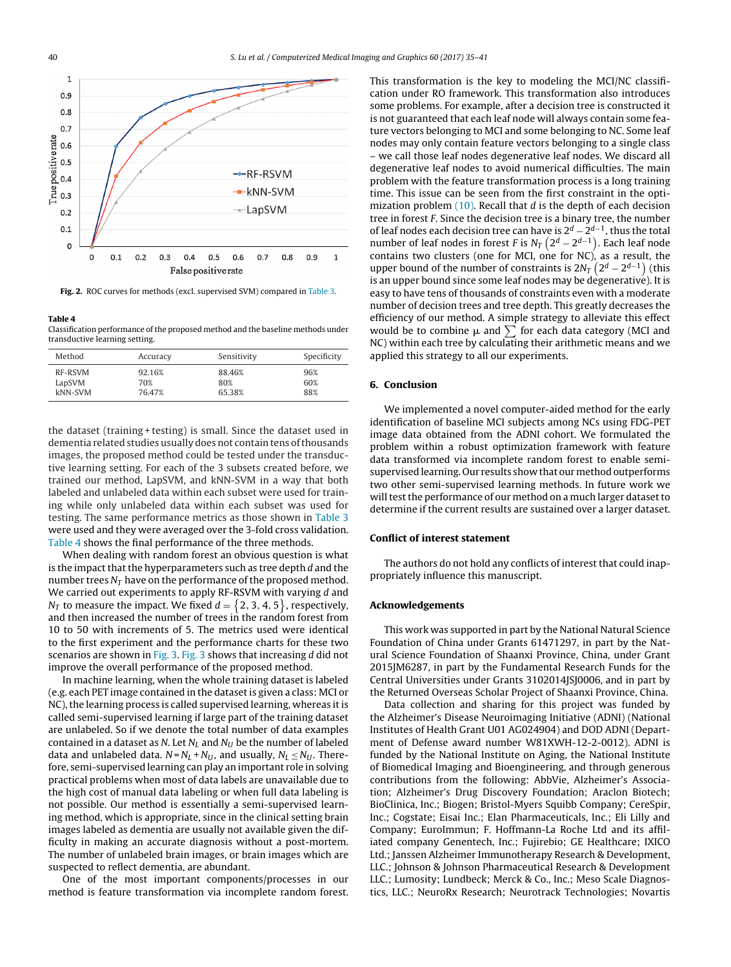<span id="page-5-0"></span>

**Fig. 2.** ROC curves for methods (excl. supervised SVM) compared in [Table](#page-4-0) 3.

**Table 4** Classification performance of the proposed method and the baseline methods under transductive learning setting.

| Method  | Accuracy | Sensitivity | Specificity |
|---------|----------|-------------|-------------|
| RF-RSVM | 92.16%   | 88.46%      | 96%         |
| LapSVM  | 70%      | 80%         | 60%         |
| kNN-SVM | 76.47%   | 65.38%      | 88%         |

the dataset (training + testing) is small. Since the dataset used in dementia related studies usually does not contain tens of thousands images, the proposed method could be tested under the transductive learning setting. For each of the 3 subsets created before, we trained our method, LapSVM, and kNN-SVM in a way that both labeled and unlabeled data within each subset were used for training while only unlabeled data within each subset was used for testing. The same performance metrics as those shown in [Table](#page-4-0) 3 were used and they were averaged over the 3-fold cross validation. Table 4 shows the final performance of the three methods.

When dealing with random forest an obvious question is what is the impact that the hyperparameters such as tree depth  $d$  and the number trees  $N_T$  have on the performance of the proposed method. We carried out experiments to apply RF-RSVM with varying  $d$  and  $N_T$  to measure the impact. We fixed  $d=\big\{2,3,4,5\big\}$ , respectively, and then increased the number of trees in the random forest from 10 to 50 with increments of 5. The metrics used were identical to the first experiment and the performance charts for these two scenarios are shown in [Fig.](#page-6-0) 3. Fig. 3 shows that increasing d did not improve the overall performance of the proposed method.

In machine learning, when the whole training dataset is labeled (e.g. each PET image contained in the datasetis given a class: MCI or NC), the learning process is called supervised learning, whereas it is called semi-supervised learning if large part of the training dataset are unlabeled. So if we denote the total number of data examples contained in a dataset as N. Let  $N_L$  and  $N_U$  be the number of labeled data and unlabeled data.  $N = N_L + N_U$ , and usually,  $N_L \le N_U$ . Therefore, semi-supervised learning can play an important role in solving practical problems when most of data labels are unavailable due to the high cost of manual data labeling or when full data labeling is not possible. Our method is essentially a semi-supervised learning method, which is appropriate, since in the clinical setting brain images labeled as dementia are usually not available given the difficulty in making an accurate diagnosis without a post-mortem. The number of unlabeled brain images, or brain images which are suspected to reflect dementia, are abundant.

One of the most important components/processes in our method is feature transformation via incomplete random forest. This transformation is the key to modeling the MCI/NC classification under RO framework. This transformation also introduces some problems. For example, after a decision tree is constructed it is not guaranteed that each leaf node will always contain some feature vectors belonging to MCI and some belonging to NC. Some leaf nodes may only contain feature vectors belonging to a single class – we call those leaf nodes degenerative leaf nodes. We discard all degenerative leaf nodes to avoid numerical difficulties. The main problem with the feature transformation process is a long training time. This issue can be seen from the first constraint in the optimization problem  $(10)$ . Recall that d is the depth of each decision tree in forest F. Since the decision tree is a binary tree, the number of leaf nodes each decision tree can have is  $2^d - 2^{d-1}$ , thus the total number of leaf nodes in forest F is N $_T$   $\left( 2^d - 2^{d-1} \right)$ . Each leaf node contains two clusters (one for MCI, one for NC), as a result, the upper bound of the number of constraints is 2N<sub>T</sub>  $(2^d - 2^{d-1})$  (this is an upper bound since some leaf nodes may be degenerative). It is easy to have tens of thousands of constraints even with a moderate number of decision trees and tree depth. This greatly decreases the efficiency of our method. A simple strategy to alleviate this effect would be to combine  $\mu$  and  $\sum$  for each data category (MCI and NC) within each tree by calculating their arithmetic means and we applied this strategy to all our experiments.

# **6. Conclusion**

We implemented a novel computer-aided method for the early identification of baseline MCI subjects among NCs using FDG-PET image data obtained from the ADNI cohort. We formulated the problem within a robust optimization framework with feature data transformed via incomplete random forest to enable semisupervised learning. Our results show that our method outperforms two other semi-supervised learning methods. In future work we will test the performance of our method on a much larger dataset to determine if the current results are sustained over a larger dataset.

#### **Conflict of interest statement**

The authors do not hold any conflicts of interest that could inappropriately influence this manuscript.

## **Acknowledgements**

This work was supported in part by the National Natural Science Foundation of China under Grants 61471297, in part by the Natural Science Foundation of Shaanxi Province, China, under Grant 2015JM6287, in part by the Fundamental Research Funds for the Central Universities under Grants 3102014JSJ0006, and in part by the Returned Overseas Scholar Project of Shaanxi Province, China.

Data collection and sharing for this project was funded by the Alzheimer's Disease Neuroimaging Initiative (ADNI) (National Institutes of Health Grant U01 AG024904) and DOD ADNI (Department of Defense award number W81XWH-12-2-0012). ADNI is funded by the National Institute on Aging, the National Institute of Biomedical Imaging and Bioengineering, and through generous contributions from the following: AbbVie, Alzheimer's Association; Alzheimer's Drug Discovery Foundation; Araclon Biotech; BioClinica, Inc.; Biogen; Bristol-Myers Squibb Company; CereSpir, Inc.; Cogstate; Eisai Inc.; Elan Pharmaceuticals, Inc.; Eli Lilly and Company; EuroImmun; F. Hoffmann-La Roche Ltd and its affiliated company Genentech, Inc.; Fujirebio; GE Healthcare; IXICO Ltd.; Janssen Alzheimer Immunotherapy Research & Development, LLC.; Johnson & Johnson Pharmaceutical Research & Development LLC.; Lumosity; Lundbeck; Merck & Co., Inc.; Meso Scale Diagnostics, LLC.; NeuroRx Research; Neurotrack Technologies; Novartis